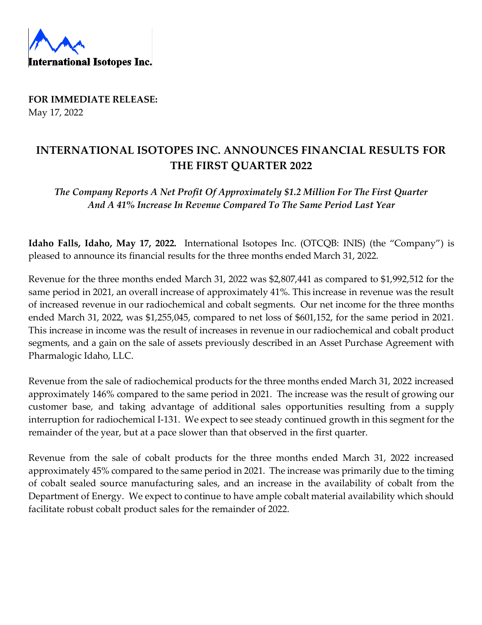

**FOR IMMEDIATE RELEASE:** May 17, 2022

## **INTERNATIONAL ISOTOPES INC. ANNOUNCES FINANCIAL RESULTS FOR THE FIRST QUARTER 2022**

*The Company Reports A Net Profit Of Approximately \$1.2 Million For The First Quarter And A 41% Increase In Revenue Compared To The Same Period Last Year*

**Idaho Falls, Idaho, May 17, 2022.** International Isotopes Inc. (OTCQB: INIS) (the "Company") is pleased to announce its financial results for the three months ended March 31, 2022.

Revenue for the three months ended March 31, 2022 was \$2,807,441 as compared to \$1,992,512 for the same period in 2021, an overall increase of approximately 41%. This increase in revenue was the result of increased revenue in our radiochemical and cobalt segments. Our net income for the three months ended March 31, 2022, was \$1,255,045, compared to net loss of \$601,152, for the same period in 2021. This increase in income was the result of increases in revenue in our radiochemical and cobalt product segments, and a gain on the sale of assets previously described in an Asset Purchase Agreement with Pharmalogic Idaho, LLC.

Revenue from the sale of radiochemical products for the three months ended March 31, 2022 increased approximately 146% compared to the same period in 2021. The increase was the result of growing our customer base, and taking advantage of additional sales opportunities resulting from a supply interruption for radiochemical I-131. We expect to see steady continued growth in this segment for the remainder of the year, but at a pace slower than that observed in the first quarter.

Revenue from the sale of cobalt products for the three months ended March 31, 2022 increased approximately 45% compared to the same period in 2021. The increase was primarily due to the timing of cobalt sealed source manufacturing sales, and an increase in the availability of cobalt from the Department of Energy. We expect to continue to have ample cobalt material availability which should facilitate robust cobalt product sales for the remainder of 2022.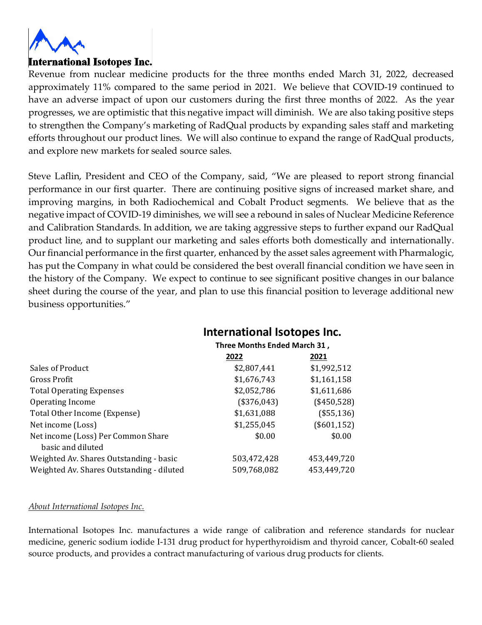

Revenue from nuclear medicine products for the three months ended March 31, 2022, decreased approximately 11% compared to the same period in 2021. We believe that COVID-19 continued to have an adverse impact of upon our customers during the first three months of 2022. As the year progresses, we are optimistic that this negative impact will diminish. We are also taking positive steps to strengthen the Company's marketing of RadQual products by expanding sales staff and marketing efforts throughout our product lines. We will also continue to expand the range of RadQual products, and explore new markets for sealed source sales.

Steve Laflin, President and CEO of the Company, said, "We are pleased to report strong financial performance in our first quarter. There are continuing positive signs of increased market share, and improving margins, in both Radiochemical and Cobalt Product segments. We believe that as the negative impact of COVID-19 diminishes, we will see a rebound in sales of Nuclear Medicine Reference and Calibration Standards. In addition, we are taking aggressive steps to further expand our RadQual product line, and to supplant our marketing and sales efforts both domestically and internationally. Our financial performance in the first quarter, enhanced by the asset sales agreement with Pharmalogic, has put the Company in what could be considered the best overall financial condition we have seen in the history of the Company. We expect to continue to see significant positive changes in our balance sheet during the course of the year, and plan to use this financial position to leverage additional new business opportunities."

## **International Isotopes Inc.**

| Three Months Ended March 31, |              |
|------------------------------|--------------|
| 2022                         | 2021         |
| \$2,807,441                  | \$1,992,512  |
| \$1,676,743                  | \$1,161,158  |
| \$2,052,786                  | \$1,611,686  |
| (\$376,043)                  | $(*450,528)$ |
| \$1,631,088                  | $(*55,136)$  |
| \$1,255,045                  | (\$601, 152) |
| \$0.00                       | \$0.00       |
| 503,472,428                  | 453,449,720  |
| 509,768,082                  | 453,449,720  |
|                              |              |

## *About International Isotopes Inc.*

International Isotopes Inc. manufactures a wide range of calibration and reference standards for nuclear medicine, generic sodium iodide I-131 drug product for hyperthyroidism and thyroid cancer, Cobalt-60 sealed source products, and provides a contract manufacturing of various drug products for clients.